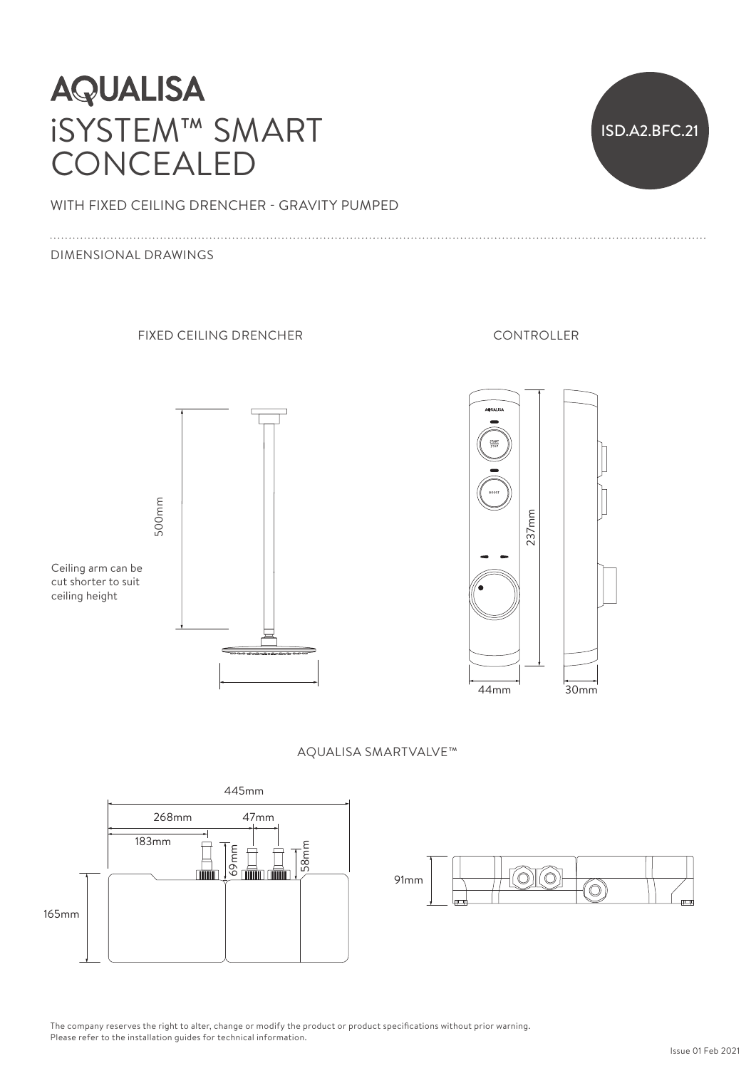# **AQUALISA** iSYSTEM™ SMART CONCEALED



WITH FIXED CEILING DRENCHER - GRAVITY PUMPED<br>

### DIMENSIONAL DRAWINGS

### FIXED CEILING DRENCHER

Ceiling arm can be cut shorter to suit

500mm 500mm



#### $\frac{1}{2}$ CONTROLLER



AQUALISA SMARTVALVE™